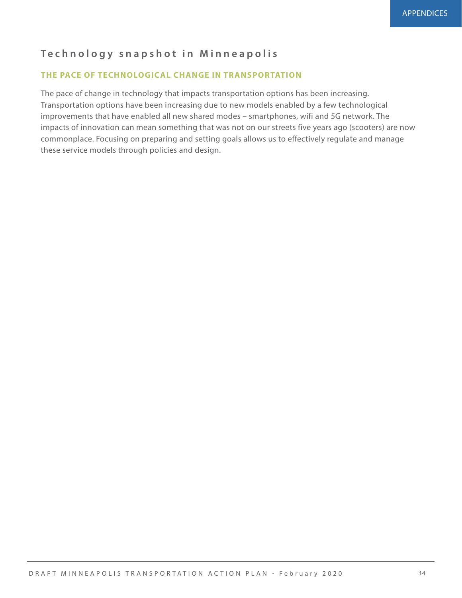## **Technology snapshot in Minneapolis**

## **THE PACE OF TECHNOLOGICAL CHANGE IN TRANSPORTATION**

The pace of change in technology that impacts transportation options has been increasing. Transportation options have been increasing due to new models enabled by a few technological improvements that have enabled all new shared modes – smartphones, wifi and 5G network. The impacts of innovation can mean something that was not on our streets five years ago (scooters) are now commonplace. Focusing on preparing and setting goals allows us to effectively regulate and manage these service models through policies and design.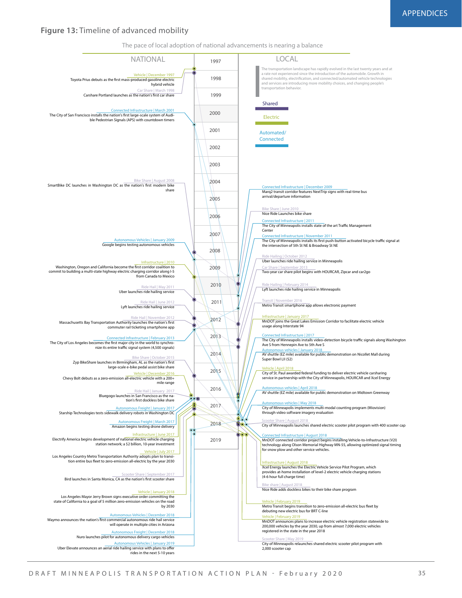# **Figure 13:** Timeline of advanced mobility

NATIONAL The pace of local adoption of national advancements is nearing a balance The transportation landscape has rapidly evolved in the last twenty years and at<br>a rate not experienced since the introduction of the automobile. Growth in<br>shared mobility, electrification, and connected/automated vehicle and services are introducing more mobility choices, and changing people's ransportation behavior. LOCAL Car Share | March 1998<br>**Carshare Portland launches as the nation's first car share** Car Share | September 2013 Two-year car share pilot begins with HOURCAR, Zipcar and car2go Bike Share | August 2008 **SmartBike DC launches in Washington DC as the nation's first modern bike** share Bike Share | June 2010 Nice Ride Launches bike share Ride Hail | May 2011 Uber launches ride hailing service Ride Hail I Lyft launches ride hailing service Ride Hailing | October 2012 Uber launches ride hailing service in Minneapolis Ride Hailing | February 2014 Lyft launches ride hailing service in Minneapolis tit | November 2016 Metro Transit smartphone app allows electronic payment Ride Hail | January 2017 Bluegogo launches in San Francisco as the nation's first dockless bike share Scooter Share | September 2017<br>Bird launches in Santa Monica, CA as the nation's first scooter share Scooter Share | May 2019 City of Minneapolis relaunches shared electric scooter pilot program with 2,000 scooter cap Scooter Share | August 2018 City of Minneapolis launches shared electric scooter pilot program with 400 scooter cap Bike share | August 2018 Nice Ride adds dockless bikes to their bike share program Bike Share | October 2015 Zyp BikeShare launches in Birmingham, AL as the nation's rst large-scale e-bike pedal assist bike share Ride Hail | November 2012<br>Massachusetts Bay Transportation Authority launches the nation's first commuter rail ticketing smartphone app Shared Vehicle | December 1997 **Toyota Prius debuts as the first mass-produced gasoline electric** hybrid vehicle Vehicle | January 2018 Los Angeles Mayor Jerry Brown signs executive order committing the state of California to a goal of 5 million zero-emission vehicles on the road by 2030 <mark>Vehicle | February 2019</mark><br>Metro Transit begins transition to zero-emission all-electric bus fleet by debuting new electric bus for BRT C-line <mark>Vehicle | February 2019</mark><br>MnDOT announces plans to increase electric vehicle registration statewide to 200,000 vehicles by the year 2030, up from almost 7,000 electric vehicles registered in the state in the year 2018 Infrastructure | January 2017<br>MnDOT joins the Great Lakes Emission Corridor to facilitate electric vehicle usage along Interstate 94 <mark>Vehicle | April 2018</mark><br>City of St. Paul awarded federal funding to deliver electric vehicle carsharing service in partnership with the City of Minneapolis, HOURCAR and Xcel Energy I<mark>nfrastructure | August 2018</mark><br>Xcel Energy launches the Electric Vehicle Service Pilot Program, which<br>provides at-home installation of level-2 electric vehicle charging stations (4-6 hour full charge time) Infrastructure | 2010 Washington, Oregon and California become the first corridor coalition to commit to building a multi-state highway electric charging corridor along I-5 from Canada to Mexico Vehicle | December 2016 Chevy Bolt debuts as a zero-emission all-electric vehicle with a 200+ mile range Vehicle | July 2017 Los Angeles Country Metro Transportation Authority adopts plan to transition entire bus fleet to zero-emission all-electric by the year 2030 Infrastructure | June 2017 Electrify America begins development of national electric vehicle charging station network; a \$2 billion, 10-year investment Electric Connected Infrastructure | March 2001 The City of San Francisco installs the nation's first large-scale system of Audi-<br>ble Pedestrian Signals (APS) with countdown timers Connected Infrastructure | 2011<br>The City of Minneapolis installs state of the art Traffic Management Center ected Infrastructure | November 2011 The City of Minneapolis installs its first push-button activated bicycle traffic signal at<br>the intersection of 5th St NE & Broadway St NE ected Infrastructure | December 2009 Marq2 transit corridor features NextTrip signs with real-time bus arrival/departure information The City of Los Angeles becomes the first major city in the world to synchro-<br>nize its entire traffic signal system (4,500 signals) Autonomous vehicles | January 2018<br>Autonomous vehicles | January 2018 AV shuttle (EZ mile) available for public demonstration on Nicollet Mall during Super Bowl LII (52) Autonomous vehicles | April 2018 AV shuttle (EZ mile) available for public demonstration on Midtown Greenway A<u>utonomous vehicles | May 2018</u><br>City of Minneapolis implements multi-modal counting program (Miovision)<br>through video software imagery evaluation cted Infrastructure | August 2018 MnDOT connected corridor project begins installing Vehicle-to-Infrastructure (V2I) technology along Olson Memorial Highway MN-55, allowing optimized signal timing for snow plow and other service vehicles. Autonomous Vehicles | December 2018 Waymo announces the nation's first commercial autonomous ride hail service<br>will operate in multiple cities in Arizona **Automous Freight | December 2018** Nuro launches pilot for autonomous delivery cargo vehicles Autonomous Vehicles | January 2019 Uber Elevate announces an aerial ride hailing service with plans to offer Aus Freight | March 2017 Amazon begins testing drone delivery Autonomous Freight | January 2017 Starship Technologies tests sidewalk delivery robots in Washington DC nfrastructure | 201 The City of Minneapolis installs video-detection bicycle traffic signals along Washington Ave S from Hennepin Ave to 5th Ave S us Vehicles | January 2009 Google begins testing autonomous vehicles Automated/ **Connected 1997 1998 1999 2000 2001 2002 2003 2004 2005 2006 2007 2008 2009 2010 2011 2012 2013 2014 2015 2016 2017 2018 2019**

rides in the next 5-10 years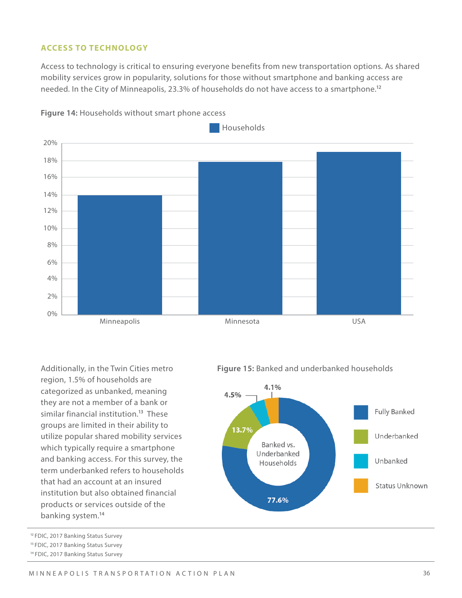### **ACCESS TO TECHNOLOGY**

Access to technology is critical to ensuring everyone benefits from new transportation options. As shared mobility services grow in popularity, solutions for those without smartphone and banking access are needed. In the City of Minneapolis, 23.3% of households do not have access to a smartphone.<sup>12</sup>





region, 1.5% of households are categorized as unbanked, meaning they are not a member of a bank or similar financial institution.<sup>13</sup> These groups are limited in their ability to utilize popular shared mobility services which typically require a smartphone and banking access. For this survey, the term underbanked refers to households that had an account at an insured institution but also obtained financial products or services outside of the banking system.14

- <sup>12</sup> FDIC, 2017 Banking Status Survey
- 13 FDIC, 2017 Banking Status Survey
- 14 FDIC, 2017 Banking Status Survey

Additionally, in the Twin Cities metro **Figure 15:** Banked and underbanked households